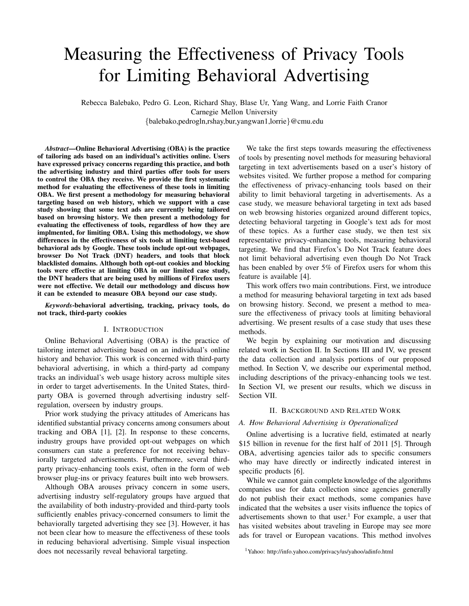# Measuring the Effectiveness of Privacy Tools for Limiting Behavioral Advertising

Rebecca Balebako, Pedro G. Leon, Richard Shay, Blase Ur, Yang Wang, and Lorrie Faith Cranor Carnegie Mellon University {balebako,pedrogln,rshay,bur,yangwan1,lorrie}@cmu.edu

*Abstract*—Online Behavioral Advertising (OBA) is the practice of tailoring ads based on an individual's activities online. Users have expressed privacy concerns regarding this practice, and both the advertising industry and third parties offer tools for users to control the OBA they receive. We provide the first systematic method for evaluating the effectiveness of these tools in limiting OBA. We first present a methodology for measuring behavioral targeting based on web history, which we support with a case study showing that some text ads are currently being tailored based on browsing history. We then present a methodology for evaluating the effectiveness of tools, regardless of how they are implmented, for limiting OBA. Using this methodology, we show differences in the effectiveness of six tools at limiting text-based behavioral ads by Google. These tools include opt-out webpages, browser Do Not Track (DNT) headers, and tools that block blacklisted domains. Although both opt-out cookies and blocking tools were effective at limiting OBA in our limited case study, the DNT headers that are being used by millions of Firefox users were not effective. We detail our methodology and discuss how it can be extended to measure OBA beyond our case study.

*Keywords*-behavioral advertising, tracking, privacy tools, do not track, third-party cookies

# I. INTRODUCTION

Online Behavioral Advertising (OBA) is the practice of tailoring internet advertising based on an individual's online history and behavior. This work is concerned with third-party behavioral advertising, in which a third-party ad company tracks an individual's web usage history across multiple sites in order to target advertisements. In the United States, thirdparty OBA is governed through advertising industry selfregulation, overseen by industry groups.

Prior work studying the privacy attitudes of Americans has identified substantial privacy concerns among consumers about tracking and OBA [\[1\]](#page-9-0), [\[2\]](#page-9-1). In response to these concerns, industry groups have provided opt-out webpages on which consumers can state a preference for not receiving behaviorally targeted advertisements. Furthermore, several thirdparty privacy-enhancing tools exist, often in the form of web browser plug-ins or privacy features built into web browsers.

Although OBA arouses privacy concern in some users, advertising industry self-regulatory groups have argued that the availability of both industry-provided and third-party tools sufficiently enables privacy-concerned consumers to limit the behaviorally targeted advertising they see [\[3\]](#page-9-2). However, it has not been clear how to measure the effectiveness of these tools in reducing behavioral advertising. Simple visual inspection does not necessarily reveal behavioral targeting.

We take the first steps towards measuring the effectiveness of tools by presenting novel methods for measuring behavioral targeting in text advertisements based on a user's history of websites visited. We further propose a method for comparing the effectiveness of privacy-enhancing tools based on their ability to limit behavioral targeting in advertisements. As a case study, we measure behavioral targeting in text ads based on web browsing histories organized around different topics, detecting behavioral targeting in Google's text ads for most of these topics. As a further case study, we then test six representative privacy-enhancing tools, measuring behavioral targeting. We find that Firefox's Do Not Track feature does not limit behavioral advertising even though Do Not Track has been enabled by over 5% of Firefox users for whom this feature is available [\[4\]](#page-9-3).

This work offers two main contributions. First, we introduce a method for measuring behavioral targeting in text ads based on browsing history. Second, we present a method to measure the effectiveness of privacy tools at limiting behavioral advertising. We present results of a case study that uses these methods.

We begin by explaining our motivation and discussing related work in Section II. In Sections III and IV, we present the data collection and analysis portions of our proposed method. In Section V, we describe our experimental method, including descriptions of the privacy-enhancing tools we test. In Section VI, we present our results, which we discuss in Section VII.

## II. BACKGROUND AND RELATED WORK

#### *A. How Behavioral Advertising is Operationalized*

Online advertising is a lucrative field, estimated at nearly \$15 billion in revenue for the first half of 2011 [\[5\]](#page-9-4). Through OBA, advertising agencies tailor ads to specific consumers who may have directly or indirectly indicated interest in specific products [\[6\]](#page-9-5).

While we cannot gain complete knowledge of the algorithms companies use for data collection since agencies generally do not publish their exact methods, some companies have indicated that the websites a user visits influence the topics of advertisements shown to that user.<sup>[1](#page-0-0)</sup> For example, a user that has visited websites about traveling in Europe may see more ads for travel or European vacations. This method involves

<span id="page-0-0"></span><sup>1</sup>Yahoo: <http://info.yahoo.com/privacy/us/yahoo/adinfo.html>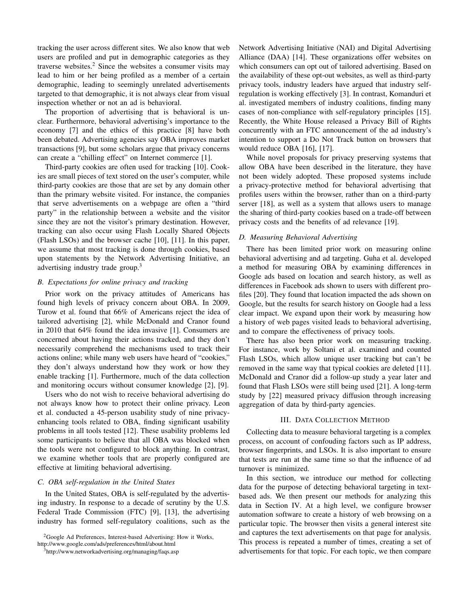tracking the user across different sites. We also know that web users are profiled and put in demographic categories as they traverse websites. $2$  Since the websites a consumer visits may lead to him or her being profiled as a member of a certain demographic, leading to seemingly unrelated advertisements targeted to that demographic, it is not always clear from visual inspection whether or not an ad is behavioral.

The proportion of advertising that is behavioral is unclear. Furthermore, behavioral advertising's importance to the economy [\[7\]](#page-9-6) and the ethics of this practice [\[8\]](#page-9-7) have both been debated. Advertising agencies say OBA improves market transactions [\[9\]](#page-9-8), but some scholars argue that privacy concerns can create a "chilling effect" on Internet commerce [\[1\]](#page-9-0).

Third-party cookies are often used for tracking [\[10\]](#page-9-9). Cookies are small pieces of text stored on the user's computer, while third-party cookies are those that are set by any domain other than the primary website visited. For instance, the companies that serve advertisements on a webpage are often a "third party" in the relationship between a website and the visitor since they are not the visitor's primary destination. However, tracking can also occur using Flash Locally Shared Objects (Flash LSOs) and the browser cache [\[10\]](#page-9-9), [\[11\]](#page-9-10). In this paper, we assume that most tracking is done through cookies, based upon statements by the Network Advertising Initiative, an advertising industry trade group.<sup>[3](#page-1-1)</sup>

# *B. Expectations for online privacy and tracking*

Prior work on the privacy attitudes of Americans has found high levels of privacy concern about OBA. In 2009, Turow et al. found that 66% of Americans reject the idea of tailored advertising [\[2\]](#page-9-1), while McDonald and Cranor found in 2010 that 64% found the idea invasive [\[1\]](#page-9-0). Consumers are concerned about having their actions tracked, and they don't necessarily comprehend the mechanisms used to track their actions online; while many web users have heard of "cookies," they don't always understand how they work or how they enable tracking [\[1\]](#page-9-0). Furthermore, much of the data collection and monitoring occurs without consumer knowledge [\[2\]](#page-9-1), [\[9\]](#page-9-8).

Users who do not wish to receive behavioral advertising do not always know how to protect their online privacy. Leon et al. conducted a 45-person usability study of nine privacyenhancing tools related to OBA, finding significant usability problems in all tools tested [\[12\]](#page-9-11). These usability problems led some participants to believe that all OBA was blocked when the tools were not configured to block anything. In contrast, we examine whether tools that are properly configured are effective at limiting behavioral advertising.

#### *C. OBA self-regulation in the United States*

In the United States, OBA is self-regulated by the advertising industry. In response to a decade of scrutiny by the U.S. Federal Trade Commission (FTC) [\[9\]](#page-9-8), [\[13\]](#page-9-12), the advertising industry has formed self-regulatory coalitions, such as the Network Advertising Initiative (NAI) and Digital Advertising Alliance (DAA) [\[14\]](#page-9-13). These organizations offer websites on which consumers can opt out of tailored advertising. Based on the availability of these opt-out websites, as well as third-party privacy tools, industry leaders have argued that industry selfregulation is working effectively [\[3\]](#page-9-2). In contrast, Komanduri et al. investigated members of industry coalitions, finding many cases of non-compliance with self-regulatory principles [\[15\]](#page-9-14). Recently, the White House released a Privacy Bill of Rights concurrently with an FTC announcement of the ad industry's intention to support a Do Not Track button on browsers that would reduce OBA [\[16\]](#page-9-15), [\[17\]](#page-9-16).

While novel proposals for privacy preserving systems that allow OBA have been described in the literature, they have not been widely adopted. These proposed systems include a privacy-protective method for behavioral advertising that profiles users within the browser, rather than on a third-party server [\[18\]](#page-9-17), as well as a system that allows users to manage the sharing of third-party cookies based on a trade-off between privacy costs and the benefits of ad relevance [\[19\]](#page-9-18).

#### *D. Measuring Behavioral Advertising*

There has been limited prior work on measuring online behavioral advertising and ad targeting. Guha et al. developed a method for measuring OBA by examining differences in Google ads based on location and search history, as well as differences in Facebook ads shown to users with different profiles [\[20\]](#page-9-19). They found that location impacted the ads shown on Google, but the results for search history on Google had a less clear impact. We expand upon their work by measuring how a history of web pages visited leads to behavioral advertising, and to compare the effectiveness of privacy tools.

There has also been prior work on measuring tracking. For instance, work by Soltani et al. examined and counted Flash LSOs, which allow unique user tracking but can't be removed in the same way that typical cookies are deleted [\[11\]](#page-9-10). McDonald and Cranor did a follow-up study a year later and found that Flash LSOs were still being used [\[21\]](#page-9-20). A long-term study by [\[22\]](#page-9-21) measured privacy diffusion through increasing aggregation of data by third-party agencies.

## III. DATA COLLECTION METHOD

Collecting data to measure behavioral targeting is a complex process, on account of confouding factors such as IP address, browser fingerprints, and LSOs. It is also important to ensure that tests are run at the same time so that the influence of ad turnover is minimized.

In this section, we introduce our method for collecting data for the purpose of detecting behavioral targeting in textbased ads. We then present our methods for analyzing this data in Section [IV.](#page-2-0) At a high level, we configure browser automation software to create a history of web browsing on a particular topic. The browser then visits a general interest site and captures the text advertisements on that page for analysis. This process is repeated a number of times, creating a set of advertisements for that topic. For each topic, we then compare

<span id="page-1-0"></span><sup>2</sup>Google Ad Preferences, Interest-based Advertising: How it Works,

<http://www.google.com/ads/preferences/html/about.html>

<span id="page-1-1"></span><sup>3</sup><http://www.networkadvertising.org/managing/faqs.asp>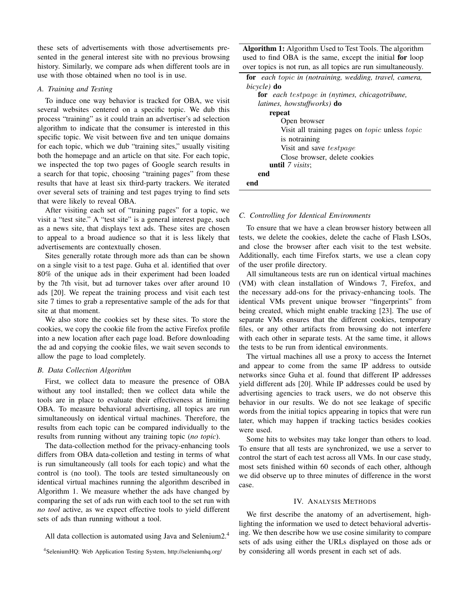these sets of advertisements with those advertisements presented in the general interest site with no previous browsing history. Similarly, we compare ads when different tools are in use with those obtained when no tool is in use.

# *A. Training and Testing*

To induce one way behavior is tracked for OBA, we visit several websites centered on a specific topic. We dub this process "training" as it could train an advertiser's ad selection algorithm to indicate that the consumer is interested in this specific topic. We visit between five and ten unique domains for each topic, which we dub "training sites," usually visiting both the homepage and an article on that site. For each topic, we inspected the top two pages of Google search results in a search for that topic, choosing "training pages" from these results that have at least six third-party trackers. We iterated over several sets of training and test pages trying to find sets that were likely to reveal OBA.

After visiting each set of "training pages" for a topic, we visit a "test site." A "test site" is a general interest page, such as a news site, that displays text ads. These sites are chosen to appeal to a broad audience so that it is less likely that advertisements are contextually chosen.

Sites generally rotate through more ads than can be shown on a single visit to a test page. Guha et al. identified that over 80% of the unique ads in their experiment had been loaded by the 7th visit, but ad turnover takes over after around 10 ads [\[20\]](#page-9-19). We repeat the training process and visit each test site 7 times to grab a representative sample of the ads for that site at that moment.

We also store the cookies set by these sites. To store the cookies, we copy the cookie file from the active Firefox profile into a new location after each page load. Before downloading the ad and copying the cookie files, we wait seven seconds to allow the page to load completely.

## *B. Data Collection Algorithm*

First, we collect data to measure the presence of OBA without any tool installed; then we collect data while the tools are in place to evaluate their effectiveness at limiting OBA. To measure behavioral advertising, all topics are run simultaneously on identical virtual machines. Therefore, the results from each topic can be compared individually to the results from running without any training topic (*no topic*).

The data-collection method for the privacy-enhancing tools differs from OBA data-colletion and testing in terms of what is run simultaneously (all tools for each topic) and what the control is (no tool). The tools are tested simultaneously on identical virtual machines running the algorithm described in Algorithm [1.](#page-2-1) We measure whether the ads have changed by comparing the set of ads run with each tool to the set run with *no tool* active, as we expect effective tools to yield different sets of ads than running without a tool.

All data collection is automated using Java and Selenium2.[4](#page-2-2)

Algorithm 1: Algorithm Used to Test Tools. The algorithm used to find OBA is the same, except the initial for loop over topics is not run, as all topics are run simultaneously.

| for each topic in (notraining, wedding, travel, camera,      |
|--------------------------------------------------------------|
| bicycle) <b>do</b>                                           |
| <b>for</b> each testpage in (nytimes, chicagotribune,        |
| <i>latimes, howstuffworks</i> ) <b>do</b>                    |
| repeat                                                       |
| Open browser                                                 |
| Visit all training pages on <i>topic</i> unless <i>topic</i> |
| is notraining                                                |
| Visit and save <i>testpage</i>                               |
| Close browser, delete cookies                                |
| <b>until</b> $7 \text{ visits}$                              |
| end                                                          |
| end                                                          |

### <span id="page-2-1"></span>*C. Controlling for Identical Environments*

To ensure that we have a clean browser history between all tests, we delete the cookies, delete the cache of Flash LSOs, and close the browser after each visit to the test website. Additionally, each time Firefox starts, we use a clean copy of the user profile directory.

All simultaneous tests are run on identical virtual machines (VM) with clean installation of Windows 7, Firefox, and the necessary add-ons for the privacy-enhancing tools. The identical VMs prevent unique browser "fingerprints" from being created, which might enable tracking [\[23\]](#page-9-22). The use of separate VMs ensures that the different cookies, temporary files, or any other artifacts from browsing do not interfere with each other in separate tests. At the same time, it allows the tests to be run from identical environments.

The virtual machines all use a proxy to access the Internet and appear to come from the same IP address to outside networks since Guha et al. found that different IP addresses yield different ads [\[20\]](#page-9-19). While IP addresses could be used by advertising agencies to track users, we do not observe this behavior in our results. We do not see leakage of specific words from the initial topics appearing in topics that were run later, which may happen if tracking tactics besides cookies were used.

Some hits to websites may take longer than others to load. To ensure that all tests are synchronized, we use a server to control the start of each test across all VMs. In our case study, most sets finished within 60 seconds of each other, although we did observe up to three minutes of difference in the worst case.

## IV. ANALYSIS METHODS

<span id="page-2-0"></span>We first describe the anatomy of an advertisement, highlighting the information we used to detect behavioral advertising. We then describe how we use cosine similarity to compare sets of ads using either the URLs displayed on those ads or by considering all words present in each set of ads.

<span id="page-2-2"></span><sup>4</sup>SeleniumHQ: Web Application Testing System, <http://seleniumhq.org/>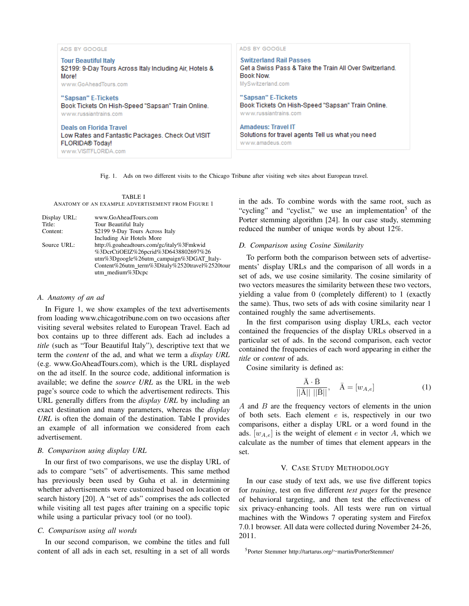| ADS BY GOOGLE                                                                                                           | ADS BY GOOGLE                                                                                     |
|-------------------------------------------------------------------------------------------------------------------------|---------------------------------------------------------------------------------------------------|
| <b>Tour Beautiful Italy</b>                                                                                             | <b>Switzerland Rail Passes</b>                                                                    |
| \$2199: 9-Day Tours Across Italy Including Air, Hotels &                                                                | Get a Swiss Pass & Take the Train All Over Switzerland.                                           |
| Morel                                                                                                                   | <b>Book Now</b>                                                                                   |
| www.GoAheadTours.com                                                                                                    | MySwitzerland.com                                                                                 |
| "Sapsan" E-Tickets                                                                                                      | "Sapsan" E-Tickets                                                                                |
| Book Tickets On Hish-Speed "Sapsan" Train Online.                                                                       | Book Tickets On Hish-Speed "Sapsan" Train Online.                                                 |
| www.russiantrains.com                                                                                                   | www.russiantrains.com                                                                             |
| Deals on Florida Travel<br>Low Rates and Fantastic Packages, Check Out VISIT<br>FLORIDA® Today!<br>www.VISITFLORIDA.com | <b>Amadeus: Travel IT</b><br>Solutions for travel agents Tell us what you need<br>www.amadeus.com |

<span id="page-3-0"></span>Fig. 1. Ads on two different visits to the Chicago Tribune after visiting web sites about European travel.

TABLE I ANATOMY OF AN EXAMPLE ADVERTISEMENT FROM FIGURE [1](#page-3-0)

<span id="page-3-1"></span>

| Display URL: | www.GoAheadTours.com                           |
|--------------|------------------------------------------------|
| Title:       | Tour Beautiful Italy                           |
| Content:     | \$2199 9-Day Tours Across Italy                |
|              | Including Air Hotels More                      |
| Source URL:  | http://i.goaheadtours.com/gc/italy%3Fmkwid     |
|              | %3DcrCtiOElZ%26pcrid%3D6438802697%26           |
|              | utm%3Dgoogle%26utm_campaign%3DGAT_Italy-       |
|              | Content%26utm_term%3Ditaly%2520travel%2520tour |
|              | utm_medium%3Dcpc                               |
|              |                                                |

## *A. Anatomy of an ad*

In Figure [1,](#page-3-0) we show examples of the text advertisements from loading <www.chicagotribune.com> on two occasions after visiting several websites related to European Travel. Each ad box contains up to three different ads. Each ad includes a *title* (such as "Tour Beautiful Italy"), descriptive text that we term the *content* of the ad, and what we term a *display URL* (e.g. [www.GoAheadTours.com\)](www.GoAheadTours.com), which is the URL displayed on the ad itself. In the source code, additional information is available; we define the *source URL* as the URL in the web page's source code to which the advertisement redirects. This URL generally differs from the *display URL* by including an exact destination and many parameters, whereas the *display URL* is often the domain of the destination. Table [I](#page-3-1) provides an example of all information we considered from each advertisement.

## *B. Comparison using display URL*

In our first of two comparisons, we use the display URL of ads to compare "sets" of advertisements. This same method has previously been used by Guha et al. in determining whether advertisements were customized based on location or search history [\[20\]](#page-9-19). A "set of ads" comprises the ads collected while visiting all test pages after training on a specific topic while using a particular privacy tool (or no tool).

## *C. Comparison using all words*

In our second comparison, we combine the titles and full content of all ads in each set, resulting in a set of all words in the ads. To combine words with the same root, such as "cycling" and "cyclist," we use an implementation<sup>[5](#page-3-2)</sup> of the Porter stemming algorithm [\[24\]](#page-9-23). In our case study, stemming reduced the number of unique words by about 12%.

## *D. Comparison using Cosine Similarity*

To perform both the comparison between sets of advertisements' display URLs and the comparison of all words in a set of ads, we use cosine similarity. The cosine similarity of two vectors measures the similarity between these two vectors, yielding a value from 0 (completely different) to 1 (exactly the same). Thus, two sets of ads with cosine similarity near 1 contained roughly the same advertisements.

In the first comparison using display URLs, each vector contained the frequencies of the display URLs observed in a particular set of ads. In the second comparison, each vector contained the frequencies of each word appearing in either the *title* or *content* of ads.

Cosine similarity is defined as:

$$
\frac{\bar{A} \cdot \bar{B}}{||\bar{A}|| \, ||\bar{B}||}, \quad \bar{A} = [w_{A,e}]
$$
 (1)

A and B are the frequency vectors of elements in the union of both sets. Each element  $e$  is, respectively in our two comparisons, either a display URL or a word found in the ads.  $[w_{A,e}]$  is the weight of element e in vector A, which we calculate as the number of times that element appears in the set.

## V. CASE STUDY METHODOLOGY

In our case study of text ads, we use five different topics for *training*, test on five different *test pages* for the presence of behavioral targeting, and then test the effectiveness of six privacy-enhancing tools. All tests were run on virtual machines with the Windows 7 operating system and Firefox 7.0.1 browser. All data were collected during November 24-26, 2011.

<span id="page-3-2"></span><sup>5</sup>Porter Stemmer http://tartarus.org/∼[martin/PorterStemmer/](http://tartarus.org/~martin/PorterStemmer/)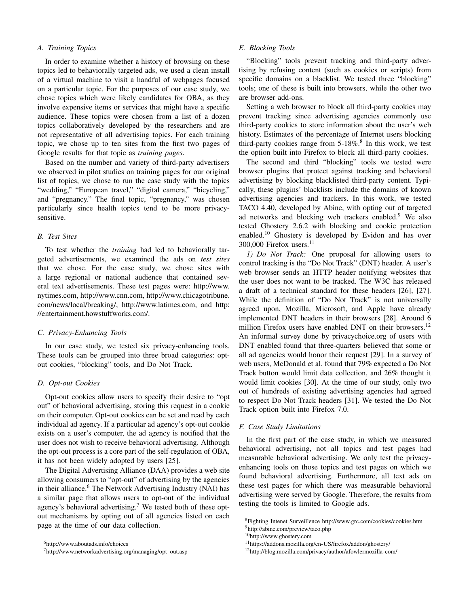## *A. Training Topics*

In order to examine whether a history of browsing on these topics led to behaviorally targeted ads, we used a clean install of a virtual machine to visit a handful of webpages focused on a particular topic. For the purposes of our case study, we chose topics which were likely candidates for OBA, as they involve expensive items or services that might have a specific audience. These topics were chosen from a list of a dozen topics collaboratively developed by the researchers and are not representative of all advertising topics. For each training topic, we chose up to ten sites from the first two pages of Google results for that topic as *training pages*.

Based on the number and variety of third-party advertisers we observed in pilot studies on training pages for our original list of topics, we chose to run the case study with the topics "wedding," "European travel," "digital camera," "bicycling," and "pregnancy." The final topic, "pregnancy," was chosen particularly since health topics tend to be more privacysensitive.

## *B. Test Sites*

To test whether the *training* had led to behaviorally targeted advertisements, we examined the ads on *test sites* that we chose. For the case study, we chose sites with a large regional or national audience that contained several text advertisements. These test pages were: [http://www.](http://www.nytimes.com) [nytimes.com,](http://www.nytimes.com) [http://www.cnn.com,](http://www.cnn.com) [http://www.chicagotribune.](http://www.chicagotribune.com/news/local/breaking/) [com/news/local/breaking/,](http://www.chicagotribune.com/news/local/breaking/) [http://www.latimes.com,](http://www.latimes.com) and [http:](http://entertainment.howstuffworks.com/) [//entertainment.howstuffworks.com/.](http://entertainment.howstuffworks.com/)

## *C. Privacy-Enhancing Tools*

In our case study, we tested six privacy-enhancing tools. These tools can be grouped into three broad categories: optout cookies, "blocking" tools, and Do Not Track.

## *D. Opt-out Cookies*

Opt-out cookies allow users to specify their desire to "opt out" of behavioral advertising, storing this request in a cookie on their computer. Opt-out cookies can be set and read by each individual ad agency. If a particular ad agency's opt-out cookie exists on a user's computer, the ad agency is notified that the user does not wish to receive behavioral advertising. Although the opt-out process is a core part of the self-regulation of OBA, it has not been widely adopted by users [\[25\]](#page-9-24).

The Digital Advertising Alliance (DAA) provides a web site allowing consumers to "opt-out" of advertising by the agencies in their alliance.<sup>[6](#page-4-0)</sup> The Network Advertising Industry (NAI) has a similar page that allows users to opt-out of the individual agency's behavioral advertising.<sup>[7](#page-4-1)</sup> We tested both of these optout mechanisms by opting out of all agencies listed on each page at the time of our data collection.

#### *E. Blocking Tools*

"Blocking" tools prevent tracking and third-party advertising by refusing content (such as cookies or scripts) from specific domains on a blacklist. We tested three "blocking" tools; one of these is built into browsers, while the other two are browser add-ons.

Setting a web browser to block all third-party cookies may prevent tracking since advertising agencies commonly use third-party cookies to store information about the user's web history. Estimates of the percentage of Internet users blocking third-party cookies range from  $5-18\%$  $5-18\%$  $5-18\%$ .<sup>8</sup> In this work, we test the option built into Firefox to block all third-party cookies.

The second and third "blocking" tools we tested were browser plugins that protect against tracking and behavioral advertising by blocking blacklisted third-party content. Typically, these plugins' blacklists include the domains of known advertising agencies and trackers. In this work, we tested TACO 4.40, developed by Abine, with opting out of targeted ad networks and blocking web trackers enabled.<sup>[9](#page-4-3)</sup> We also tested Ghostery 2.6.2 with blocking and cookie protection enabled.<sup>[10](#page-4-4)</sup> Ghostery is developed by Evidon and has over 300,000 Firefox users.<sup>[11](#page-4-5)</sup>

*1) Do Not Track:* One proposal for allowing users to control tracking is the "Do Not Track" (DNT) header. A user's web browser sends an HTTP header notifying websites that the user does not want to be tracked. The W3C has released a draft of a technical standard for these headers [\[26\]](#page-9-25), [\[27\]](#page-9-26). While the definition of "Do Not Track" is not universally agreed upon, Mozilla, Microsoft, and Apple have already implemented DNT headers in their browsers [\[28\]](#page-9-27). Around 6 million Firefox users have enabled DNT on their browsers.<sup>[12](#page-4-6)</sup> An informal survey done by privacychoice.org of users with DNT enabled found that three-quarters believed that some or all ad agencies would honor their request [\[29\]](#page-9-28). In a survey of web users, McDonald et al. found that 79% expected a Do Not Track button would limit data collection, and 26% thought it would limit cookies [\[30\]](#page-9-29). At the time of our study, only two out of hundreds of existing advertising agencies had agreed to respect Do Not Track headers [\[31\]](#page-9-30). We tested the Do Not Track option built into Firefox 7.0.

## *F. Case Study Limitations*

In the first part of the case study, in which we measured behavioral advertising, not all topics and test pages had measurable behavioral advertising. We only test the privacyenhancing tools on those topics and test pages on which we found behavioral advertising. Furthermore, all text ads on these test pages for which there was measurable behavioral advertising were served by Google. Therefore, the results from testing the tools is limited to Google ads.

<span id="page-4-0"></span><sup>6</sup><http://www.aboutads.info/choices>

<span id="page-4-1"></span> $7$ [http://www.networkadvertising.org/managing/opt](http://www.networkadvertising.org/managing/opt_out.asp)\_out.asp

<span id="page-4-2"></span><sup>8</sup>Fighting Intenet Surveillence <http://www.grc.com/cookies/cookies.htm> <sup>9</sup><http://abine.com/preview/taco.php>

<span id="page-4-4"></span><span id="page-4-3"></span>

<sup>10</sup><http://www.ghostery.com>

<span id="page-4-5"></span><sup>11</sup><https://addons.mozilla.org/en-US/firefox/addon/ghostery/>

<span id="page-4-6"></span><sup>12</sup><http://blog.mozilla.com/privacy/author/afowlermozilla-com/>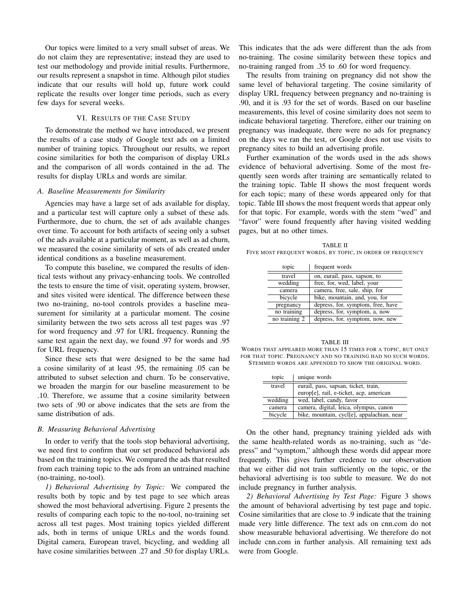Our topics were limited to a very small subset of areas. We do not claim they are representative; instead they are used to test our methodology and provide initial results. Furthermore, our results represent a snapshot in time. Although pilot studies indicate that our results will hold up, future work could replicate the results over longer time periods, such as every few days for several weeks.

# VI. RESULTS OF THE CASE STUDY

To demonstrate the method we have introduced, we present the results of a case study of Google text ads on a limited number of training topics. Throughout our results, we report cosine similarities for both the comparison of display URLs and the comparison of all words contained in the ad. The results for display URLs and words are similar.

#### *A. Baseline Measurements for Similarity*

Agencies may have a large set of ads available for display, and a particular test will capture only a subset of these ads. Furthermore, due to churn, the set of ads available changes over time. To account for both artifacts of seeing only a subset of the ads available at a particular moment, as well as ad churn, we measured the cosine similarity of sets of ads created under identical conditions as a baseline measurement.

To compute this baseline, we compared the results of identical tests without any privacy-enhancing tools. We controlled the tests to ensure the time of visit, operating system, browser, and sites visited were identical. The difference between these two no-training, no-tool controls provides a baseline measurement for similarity at a particular moment. The cosine similarity between the two sets across all test pages was .97 for word frequency and .97 for URL frequency. Running the same test again the next day, we found .97 for words and .95 for URL frequency.

Since these sets that were designed to be the same had a cosine similarity of at least .95, the remaining .05 can be attributed to subset selection and churn. To be conservative, we broaden the margin for our baseline measurement to be .10. Therefore, we assume that a cosine similarity between two sets of .90 or above indicates that the sets are from the same distribution of ads.

## *B. Measuring Behavioral Advertising*

In order to verify that the tools stop behavioral advertising, we need first to confirm that our set produced behavioral ads based on the training topics. We compared the ads that resulted from each training topic to the ads from an untrained machine (no-training, no-tool).

*1) Behavioral Advertising by Topic:* We compared the results both by topic and by test page to see which areas showed the most behavioral advertising. Figure [2](#page-6-0) presents the results of comparing each topic to the no-tool, no-training set across all test pages. Most training topics yielded different ads, both in terms of unique URLs and the words found. Digital camera, European travel, bicycling, and wedding all have cosine similarities between .27 and .50 for display URLs. This indicates that the ads were different than the ads from no-training. The cosine similarity between these topics and no-training ranged from .35 to .60 for word frequency.

The results from training on pregnancy did not show the same level of behavioral targeting. The cosine similarity of display URL frequency between pregnancy and no-training is .90, and it is .93 for the set of words. Based on our baseline measurements, this level of cosine similarity does not seem to indicate behavioral targeting. Therefore, either our training on pregnancy was inadequate, there were no ads for pregnancy on the days we ran the test, or Google does not use visits to pregnancy sites to build an advertising profile.

Further examination of the words used in the ads shows evidence of behavioral advertising. Some of the most frequently seen words after training are semantically related to the training topic. Table [II](#page-5-0) shows the most frequent words for each topic; many of these words appeared only for that topic. Table [III](#page-5-1) shows the most frequent words that appear only for that topic. For example, words with the stem "wed" and "favor" were found frequently after having visited wedding pages, but at no other times.

<span id="page-5-0"></span>TABLE II FIVE MOST FREQUENT WORDS, BY TOPIC, IN ORDER OF FREQUENCY

| topic         | frequent words                    |
|---------------|-----------------------------------|
| travel        | on, eurail, pass, sapson, to      |
| wedding       | free, for, wed, label, your       |
| camera        | camera, free, sale, ship, for     |
| bicycle       | bike, mountain, and, you, for     |
| pregnancy     | depress, for, symptom, free, have |
| no training   | depress, for, symptom, a, now     |
| no training 2 | depress, for, symptom, now, new   |

<span id="page-5-1"></span>TABLE III WORDS THAT APPEARED MORE THAN 15 TIMES FOR A TOPIC, BUT ONLY FOR THAT TOPIC. PREGNANCY AND NO TRAINING HAD NO SUCH WORDS. STEMMED WORDS ARE APPENDED TO SHOW THE ORIGINAL WORD.

| topic   | unique words                               |
|---------|--------------------------------------------|
| travel  | eurail, pass, sapsan, ticket, train,       |
|         | europ[e], rail, e-ticket, acp, american    |
| wedding | wed, label, candy, favor                   |
| camera  | camera, digital, leica, olympus, canon     |
| bicycle | bike, mountain, cycl[e], appalachian, near |

On the other hand, pregnancy training yielded ads with the same health-related words as no-training, such as "depress" and "symptom," although these words did appear more frequently. This gives further credence to our observation that we either did not train sufficiently on the topic, or the behavioral advertising is too subtle to measure. We do not include pregnancy in further analysis.

*2) Behavioral Advertising by Test Page:* Figure [3](#page-6-1) shows the amount of behavioral advertising by test page and topic. Cosine similarities that are close to .9 indicate that the training made very little difference. The text ads on <cnn.com> do not show measurable behavioral advertising. We therefore do not include <cnn.com> in further analysis. All remaining text ads were from Google.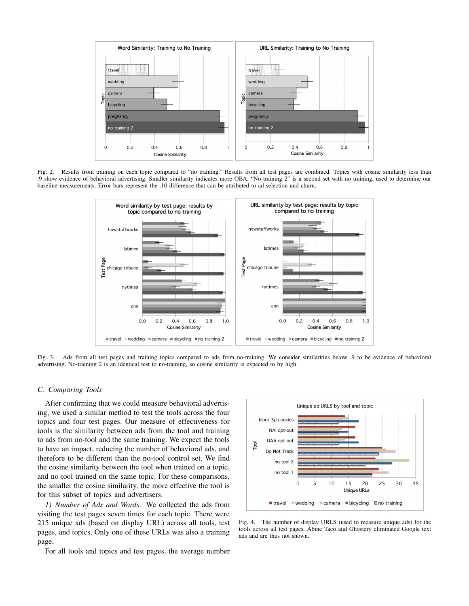

<span id="page-6-0"></span>Fig. 2. Results from training on each topic compared to "no training." Results from all test pages are combined. Topics with cosine similarity less than .9 show evidence of behavioral advertising. Smaller similarity indicates more OBA. "No training 2" is a second set with no training, used to determine our baseline measurements. Error bars represent the .10 difference that can be attributed to ad selection and churn.



<span id="page-6-1"></span>Fig. 3. Ads from all test pages and training topics compared to ads from no-training. We consider similarities below .9 to be evidence of behavioral advertising. No-training 2 is an identical test to no-training, so cosine similarity is expected to by high.

#### *C. Comparing Tools*

After confirming that we could measure behavioral advertising, we used a similar method to test the tools across the four topics and four test pages. Our measure of effectiveness for tools is the similarity between ads from the tool and training to ads from no-tool and the same training. We expect the tools to have an impact, reducing the number of behavioral ads, and therefore to be different than the no-tool control set. We find the cosine similarity between the tool when trained on a topic, and no-tool trained on the same topic. For these comparisons, the smaller the cosine similarity, the more effective the tool is for this subset of topics and advertisers.

*1) Number of Ads and Words:* We collected the ads from visiting the test pages seven times for each topic. There were 215 unique ads (based on display URL) across all tools, test pages, and topics. Only one of these URLs was also a training page.

For all tools and topics and test pages, the average number



<span id="page-6-2"></span>Fig. 4. The number of display URLS (used to measure unique ads) for the tools across all test pages. Abine Taco and Ghostery eliminated Google text ads and are thus not shown.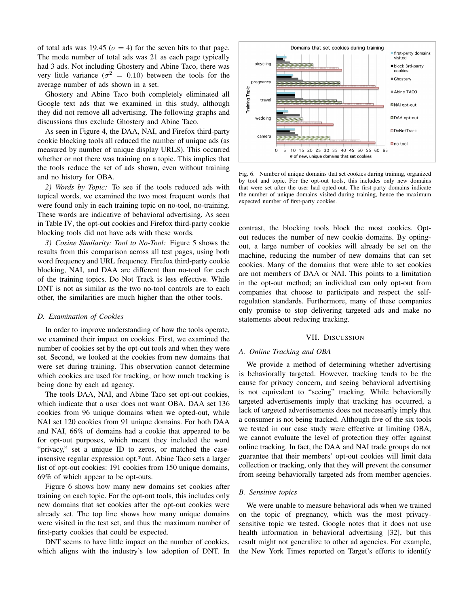of total ads was 19.45 ( $\sigma = 4$ ) for the seven hits to that page. The mode number of total ads was 21 as each page typically had 3 ads. Not including Ghostery and Abine Taco, there was very little variance ( $\sigma^2 = 0.10$ ) between the tools for the average number of ads shown in a set.

Ghostery and Abine Taco both completely eliminated all Google text ads that we examined in this study, although they did not remove all advertising. The following graphs and discussions thus exclude Ghostery and Abine Taco.

As seen in Figure [4,](#page-6-2) the DAA, NAI, and Firefox third-party cookie blocking tools all reduced the number of unique ads (as measured by number of unique display URLS). This occurred whether or not there was training on a topic. This implies that the tools reduce the set of ads shown, even without training and no history for OBA.

*2) Words by Topic:* To see if the tools reduced ads with topical words, we examined the two most frequent words that were found only in each training topic on no-tool, no-training. These words are indicative of behavioral advertising. As seen in Table [IV,](#page-8-0) the opt-out cookies and Firefox third-party cookie blocking tools did not have ads with these words.

*3) Cosine Similarity: Tool to No-Tool:* Figure [5](#page-8-1) shows the results from this comparison across all test pages, using both word frequency and URL frequency. Firefox third-party cookie blocking, NAI, and DAA are different than no-tool for each of the training topics. Do Not Track is less effective. While DNT is not as similar as the two no-tool controls are to each other, the similarities are much higher than the other tools.

#### *D. Examination of Cookies*

In order to improve understanding of how the tools operate, we examined their impact on cookies. First, we examined the number of cookies set by the opt-out tools and when they were set. Second, we looked at the cookies from new domains that were set during training. This observation cannot determine which cookies are used for tracking, or how much tracking is being done by each ad agency.

The tools DAA, NAI, and Abine Taco set opt-out cookies, which indicate that a user does not want OBA. DAA set 136 cookies from 96 unique domains when we opted-out, while NAI set 120 cookies from 91 unique domains. For both DAA and NAI, 66% of domains had a cookie that appeared to be for opt-out purposes, which meant they included the word "privacy," set a unique ID to zeros, or matched the caseinsensive regular expression opt.\*out. Abine Taco sets a larger list of opt-out cookies: 191 cookies from 150 unique domains, 69% of which appear to be opt-outs.

Figure [6](#page-7-0) shows how many new domains set cookies after training on each topic. For the opt-out tools, this includes only new domains that set cookies after the opt-out cookies were already set. The top line shows how many unique domains were visited in the test set, and thus the maximum number of first-party cookies that could be expected.

DNT seems to have little impact on the number of cookies, which aligns with the industry's low adoption of DNT. In



<span id="page-7-0"></span>Fig. 6. Number of unique domains that set cookies during training, organized by tool and topic. For the opt-out tools, this includes only new domains that were set after the user had opted-out. The first-party domains indicate the number of unique domains visited during training, hence the maximum expected number of first-party cookies.

contrast, the blocking tools block the most cookies. Optout reduces the number of new cookie domains. By optingout, a large number of cookies will already be set on the machine, reducing the number of new domains that can set cookies. Many of the domains that were able to set cookies are not members of DAA or NAI. This points to a limitation in the opt-out method; an individual can only opt-out from companies that choose to participate and respect the selfregulation standards. Furthermore, many of these companies only promise to stop delivering targeted ads and make no statements about reducing tracking.

## VII. DISCUSSION

#### *A. Online Tracking and OBA*

We provide a method of determining whether advertising is behaviorally targeted. However, tracking tends to be the cause for privacy concern, and seeing behavioral advertising is not equivalent to "seeing" tracking. While behaviorally targeted advertisements imply that tracking has occurred, a lack of targeted advertisements does not necessarily imply that a consumer is not being tracked. Although five of the six tools we tested in our case study were effective at limiting OBA, we cannot evaluate the level of protection they offer against online tracking. In fact, the DAA and NAI trade groups do not guarantee that their members' opt-out cookies will limit data collection or tracking, only that they will prevent the consumer from seeing behaviorally targeted ads from member agencies.

#### *B. Sensitive topics*

We were unable to measure behavioral ads when we trained on the topic of pregnancy, which was the most privacysensitive topic we tested. Google notes that it does not use health information in behavioral advertising [\[32\]](#page-9-31), but this result might not generalize to other ad agencies. For example, the New York Times reported on Target's efforts to identify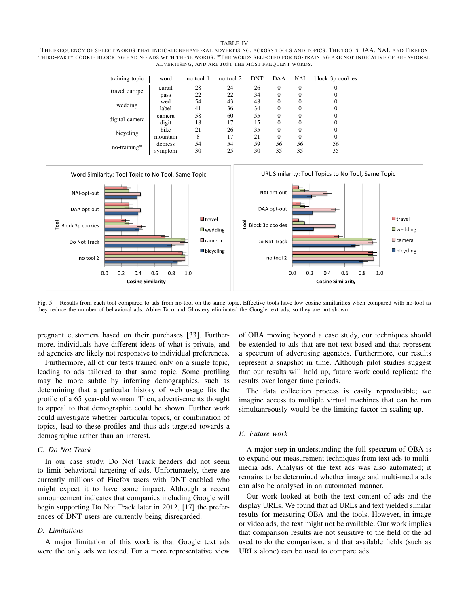#### TABLE IV

<span id="page-8-0"></span>THE FREQUENCY OF SELECT WORDS THAT INDICATE BEHAVIORAL ADVERTISING, ACROSS TOOLS AND TOPICS. THE TOOLS DAA, NAI, AND FIREFOX THIRD-PARTY COOKIE BLOCKING HAD NO ADS WITH THESE WORDS. \*THE WORDS SELECTED FOR NO-TRAINING ARE NOT INDICATIVE OF BEHAVIORAL ADVERTISING, AND ARE JUST THE MOST FREQUENT WORDS.

| training topic | word     | no tool 1 | no tool 2 | <b>DNT</b> | DAA               | NAI | block 3p cookies |
|----------------|----------|-----------|-----------|------------|-------------------|-----|------------------|
| travel europe  | eurail   | 28        | 24        | 26         |                   |     |                  |
|                | pass     | 22        | 22        | 34         | 0                 |     |                  |
| wedding        | wed      | 54        | 43        | 48         |                   |     |                  |
|                | label    | 41        | 36        | 34         | 0                 |     |                  |
| digital camera | camera   | 58        | 60        | 55         | $\mathbf{\Omega}$ |     |                  |
|                | digit    | 18        | 17        | 15         | 0                 |     |                  |
| bicycling      | bike     | 21        | 26        | 35         |                   |     |                  |
|                | mountain |           | 17        | 21         | 0                 |     |                  |
| no-training*   | depress  | 54        | 54        | 59         | 56                | 56  | 56               |
|                | symptom  | 30        | 25        | 30         | 35                | 35  | 35               |



<span id="page-8-1"></span>Fig. 5. Results from each tool compared to ads from no-tool on the same topic. Effective tools have low cosine similarities when compared with no-tool as they reduce the number of behavioral ads. Abine Taco and Ghostery eliminated the Google text ads, so they are not shown.

pregnant customers based on their purchases [\[33\]](#page-9-32). Furthermore, individuals have different ideas of what is private, and ad agencies are likely not responsive to individual preferences.

Furthermore, all of our tests trained only on a single topic, leading to ads tailored to that same topic. Some profiling may be more subtle by inferring demographics, such as determining that a particular history of web usage fits the profile of a 65 year-old woman. Then, advertisements thought to appeal to that demographic could be shown. Further work could investigate whether particular topics, or combination of topics, lead to these profiles and thus ads targeted towards a demographic rather than an interest.

## *C. Do Not Track*

In our case study, Do Not Track headers did not seem to limit behavioral targeting of ads. Unfortunately, there are currently millions of Firefox users with DNT enabled who might expect it to have some impact. Although a recent announcement indicates that companies including Google will begin supporting Do Not Track later in 2012, [\[17\]](#page-9-16) the preferences of DNT users are currently being disregarded.

#### *D. Limitations*

A major limitation of this work is that Google text ads were the only ads we tested. For a more representative view

of OBA moving beyond a case study, our techniques should be extended to ads that are not text-based and that represent a spectrum of advertising agencies. Furthermore, our results represent a snapshot in time. Although pilot studies suggest that our results will hold up, future work could replicate the results over longer time periods.

The data collection process is easily reproducible; we imagine access to multiple virtual machines that can be run simultanreously would be the limiting factor in scaling up.

# *E. Future work*

A major step in understanding the full spectrum of OBA is to expand our measurement techniques from text ads to multimedia ads. Analysis of the text ads was also automated; it remains to be determined whether image and multi-media ads can also be analysed in an automated manner.

Our work looked at both the text content of ads and the display URLs. We found that ad URLs and text yielded similar results for measuring OBA and the tools. However, in image or video ads, the text might not be available. Our work implies that comparison results are not sensitive to the field of the ad used to do the comparison, and that available fields (such as URLs alone) can be used to compare ads.